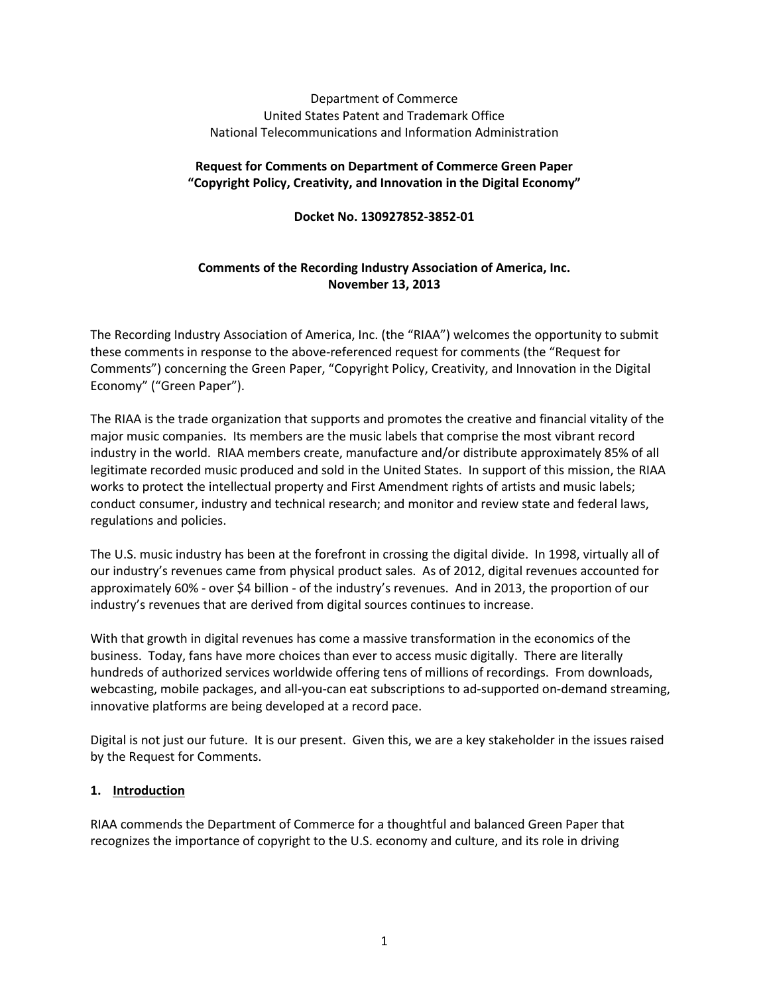## Department of Commerce United States Patent and Trademark Office National Telecommunications and Information Administration

## **Request for Comments on Department of Commerce Green Paper "Copyright Policy, Creativity, and Innovation in the Digital Economy"**

**Docket No. 130927852-3852-01**

# **Comments of the Recording Industry Association of America, Inc. November 13, 2013**

The Recording Industry Association of America, Inc. (the "RIAA") welcomes the opportunity to submit these comments in response to the above-referenced request for comments (the "Request for Comments") concerning the Green Paper, "Copyright Policy, Creativity, and Innovation in the Digital Economy" ("Green Paper").

The RIAA is the trade organization that supports and promotes the creative and financial vitality of the major music companies. Its members are the music labels that comprise the most vibrant record industry in the world. RIAA members create, manufacture and/or distribute approximately 85% of all legitimate recorded music produced and sold in the United States. In support of this mission, the RIAA works to protect the intellectual property and First Amendment rights of artists and music labels; conduct consumer, industry and technical research; and monitor and review state and federal laws, regulations and policies.

The U.S. music industry has been at the forefront in crossing the digital divide. In 1998, virtually all of our industry's revenues came from physical product sales. As of 2012, digital revenues accounted for approximately 60% - over \$4 billion - of the industry's revenues. And in 2013, the proportion of our industry's revenues that are derived from digital sources continues to increase.

With that growth in digital revenues has come a massive transformation in the economics of the business. Today, fans have more choices than ever to access music digitally. There are literally hundreds of authorized services worldwide offering tens of millions of recordings. From downloads, webcasting, mobile packages, and all-you-can eat subscriptions to ad-supported on-demand streaming, innovative platforms are being developed at a record pace.

Digital is not just our future. It is our present. Given this, we are a key stakeholder in the issues raised by the Request for Comments.

# **1. Introduction**

RIAA commends the Department of Commerce for a thoughtful and balanced Green Paper that recognizes the importance of copyright to the U.S. economy and culture, and its role in driving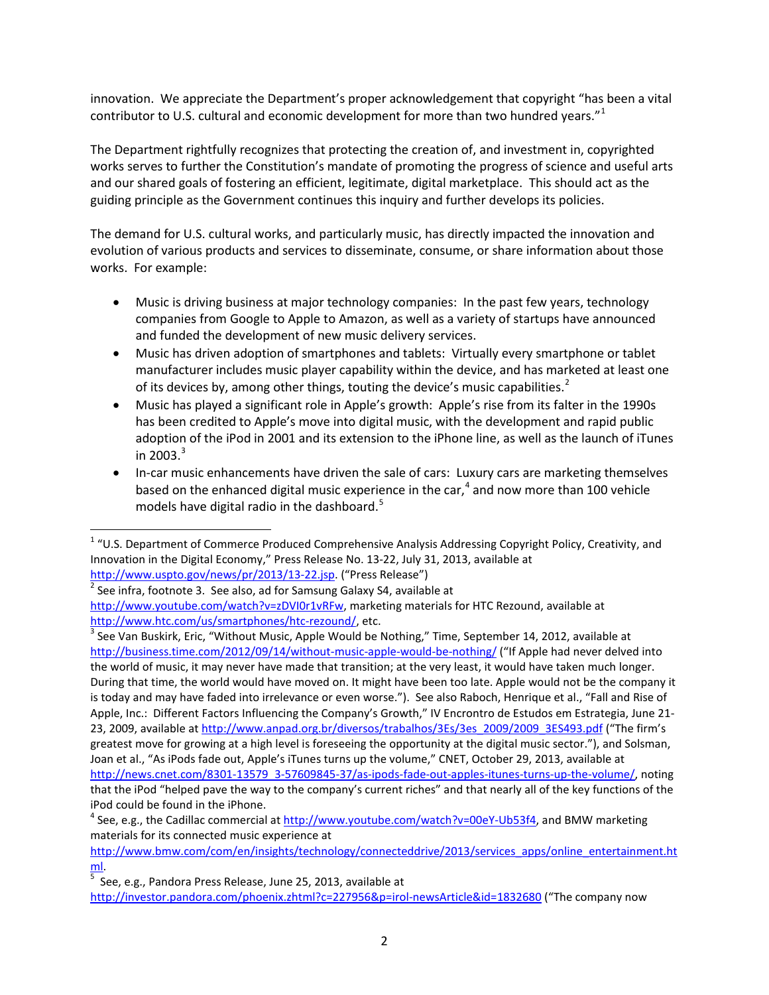innovation. We appreciate the Department's proper acknowledgement that copyright "has been a vital contributor to U.S. cultural and economic development for more than two hundred years."<sup>[1](#page-1-0)</sup>

The Department rightfully recognizes that protecting the creation of, and investment in, copyrighted works serves to further the Constitution's mandate of promoting the progress of science and useful arts and our shared goals of fostering an efficient, legitimate, digital marketplace. This should act as the guiding principle as the Government continues this inquiry and further develops its policies.

The demand for U.S. cultural works, and particularly music, has directly impacted the innovation and evolution of various products and services to disseminate, consume, or share information about those works. For example:

- Music is driving business at major technology companies: In the past few years, technology companies from Google to Apple to Amazon, as well as a variety of startups have announced and funded the development of new music delivery services.
- Music has driven adoption of smartphones and tablets: Virtually every smartphone or tablet manufacturer includes music player capability within the device, and has marketed at least one of its devices by, among other things, touting the device's music capabilities.<sup>[2](#page-1-1)</sup>
- Music has played a significant role in Apple's growth: Apple's rise from its falter in the 1990s has been credited to Apple's move into digital music, with the development and rapid public adoption of the iPod in 2001 and its extension to the iPhone line, as well as the launch of iTunes in 200[3](#page-1-2). $3$
- In-car music enhancements have driven the sale of cars: Luxury cars are marketing themselves based on the enhanced digital music experience in the car, [4](#page-1-3) and now more than 100 vehicle models have digital radio in the dashboard.<sup>[5](#page-1-4)</sup>

[http://www.uspto.gov/news/pr/2013/13-22.jsp.](http://www.uspto.gov/news/pr/2013/13-22.jsp) ("Press Release")<br><sup>2</sup> See infra, footnote 3. See also, ad for Samsung Galaxy S4, available at

<span id="page-1-2"></span>[http://www.htc.com/us/smartphones/htc-rezound/,](http://www.htc.com/us/smartphones/htc-rezound/) etc.<br><sup>[3](http://www.htc.com/us/smartphones/htc-rezound/)</sup> See Van Buskirk, Eric, "Without Music, Apple Would be Nothing," Time, September 14, 2012, available at <http://business.time.com/2012/09/14/without-music-apple-would-be-nothing/> ("If Apple had never delved into the world of music, it may never have made that transition; at the very least, it would have taken much longer. During that time, the world would have moved on. It might have been too late. Apple would not be the company it is today and may have faded into irrelevance or even worse."). See also Raboch, Henrique et al., "Fall and Rise of Apple, Inc.: Different Factors Influencing the Company's Growth," IV Encrontro de Estudos em Estrategia, June 21- 23, 2009, available a[t http://www.anpad.org.br/diversos/trabalhos/3Es/3es\\_2009/2009\\_3ES493.pdf](http://www.anpad.org.br/diversos/trabalhos/3Es/3es_2009/2009_3ES493.pdf) ("The firm's greatest move for growing at a high level is foreseeing the opportunity at the digital music sector."), and Solsman, Joan et al., "As iPods fade out, Apple's iTunes turns up the volume," CNET, October 29, 2013, available at [http://news.cnet.com/8301-13579\\_3-57609845-37/as-ipods-fade-out-apples-itunes-turns-up-the-volume/,](http://news.cnet.com/8301-13579_3-57609845-37/as-ipods-fade-out-apples-itunes-turns-up-the-volume/) noting that the iPod "helped pave the way to the company's current riches" and that nearly all of the key functions of the iPod could be found in the iPhone.

<span id="page-1-0"></span> $1$  "U.S. Department of Commerce Produced Comprehensive Analysis Addressing Copyright Policy, Creativity, and Innovation in the Digital Economy," Press Release No. 13-22, July 31, 2013, available at

<span id="page-1-1"></span>[http://www.youtube.com/watch?v=zDVI0r1vRFw,](http://www.youtube.com/watch?v=zDVI0r1vRFw) marketing materials for HTC Rezound, available at

<span id="page-1-3"></span> $4$  See, e.g., the Cadillac commercial at [http://www.youtube.com/watch?v=00eY-Ub53f4,](http://www.youtube.com/watch?v=00eY-Ub53f4) and BMW marketing materials for its connected music experience at

[http://www.bmw.com/com/en/insights/technology/connecteddrive/2013/services\\_apps/online\\_entertainment.ht](http://www.bmw.com/com/en/insights/technology/connecteddrive/2013/services_apps/online_entertainment.html) [ml.](http://www.bmw.com/com/en/insights/technology/connecteddrive/2013/services_apps/online_entertainment.html)

<span id="page-1-4"></span> $5$  See, e.g., Pandora Press Release, June 25, 2013, available at

<http://investor.pandora.com/phoenix.zhtml?c=227956&p=irol-newsArticle&id=1832680> ("The company now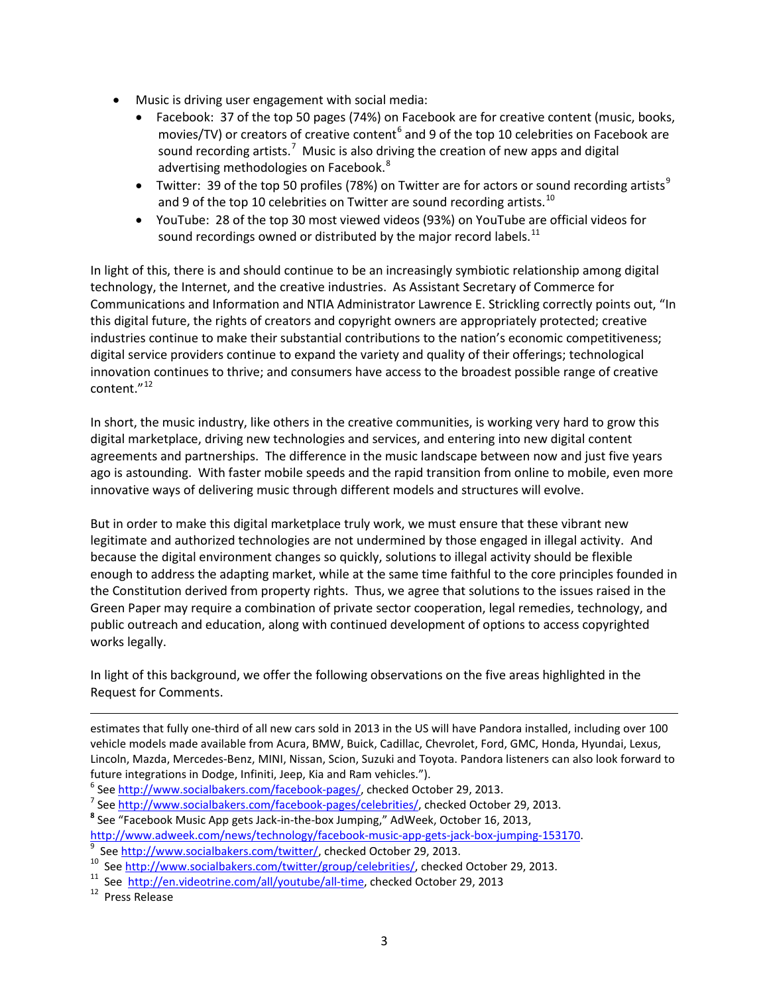- Music is driving user engagement with social media:
	- Facebook: 37 of the top 50 pages (74%) on Facebook are for creative content (music, books, movies/TV) or creators of creative content<sup>[6](#page-2-0)</sup> and 9 of the top 10 celebrities on Facebook are sound recording artists.<sup>[7](#page-2-1)</sup> Music is also driving the creation of new apps and digital advertising methodologies on Facebook.<sup>[8](#page-2-2)</sup>
	- Twitter: 3[9](#page-2-3) of the top 50 profiles (78%) on Twitter are for actors or sound recording artists<sup>9</sup> and 9 of the top [10](#page-2-4) celebrities on Twitter are sound recording artists.<sup>10</sup>
	- YouTube: 28 of the top 30 most viewed videos (93%) on YouTube are official videos for sound recordings owned or distributed by the major record labels.<sup>[11](#page-2-5)</sup>

In light of this, there is and should continue to be an increasingly symbiotic relationship among digital technology, the Internet, and the creative industries. As Assistant Secretary of Commerce for Communications and Information and NTIA Administrator Lawrence E. Strickling correctly points out, "In this digital future, the rights of creators and copyright owners are appropriately protected; creative industries continue to make their substantial contributions to the nation's economic competitiveness; digital service providers continue to expand the variety and quality of their offerings; technological innovation continues to thrive; and consumers have access to the broadest possible range of creative content."<sup>[12](#page-2-6)</sup>

In short, the music industry, like others in the creative communities, is working very hard to grow this digital marketplace, driving new technologies and services, and entering into new digital content agreements and partnerships. The difference in the music landscape between now and just five years ago is astounding. With faster mobile speeds and the rapid transition from online to mobile, even more innovative ways of delivering music through different models and structures will evolve.

But in order to make this digital marketplace truly work, we must ensure that these vibrant new legitimate and authorized technologies are not undermined by those engaged in illegal activity. And because the digital environment changes so quickly, solutions to illegal activity should be flexible enough to address the adapting market, while at the same time faithful to the core principles founded in the Constitution derived from property rights. Thus, we agree that solutions to the issues raised in the Green Paper may require a combination of private sector cooperation, legal remedies, technology, and public outreach and education, along with continued development of options to access copyrighted works legally.

In light of this background, we offer the following observations on the five areas highlighted in the Request for Comments.

estimates that fully one-third of all new cars sold in 2013 in the US will have Pandora installed, including over 100 vehicle models made available from Acura, BMW, Buick, Cadillac, Chevrolet, Ford, GMC, Honda, Hyundai, Lexus, Lincoln, Mazda, Mercedes-Benz, MINI, Nissan, Scion, Suzuki and Toyota. Pandora listeners can also look forward to

[http://www.adweek.com/news/technology/facebook-music-app-gets-jack-box-jumping-153170.](http://www.adweek.com/news/technology/facebook-music-app-gets-jack-box-jumping-153170)<br><sup>9</sup> See http://www.socialbakers.com/twitter/, checked October 29, 2013.

<span id="page-2-6"></span>

l

<span id="page-2-0"></span>future integrations in Dodge, Infiniti, Jeep, Kia and Ram vehicles.").<br>
<sup>6</sup> See [http://www.socialbakers.com/facebook-pages/,](http://www.socialbakers.com/facebook-pages/) checked October 29, 2013.<br>
<sup>7</sup> See [http://www.socialbakers.com/facebook-pages/celebrities/,](http://www.socialbakers.com/facebook-pages/celebrities/) check

<span id="page-2-2"></span><span id="page-2-1"></span>

<span id="page-2-5"></span><span id="page-2-4"></span><span id="page-2-3"></span><sup>&</sup>lt;sup>10</sup> See [http://www.socialbakers.com/twitter/group/celebrities/,](http://www.socialbakers.com/twitter/group/celebrities/) checked October 29, 2013.<br><sup>11</sup> See [http://en.videotrine.com/all/youtube/all-time,](http://en.videotrine.com/all/youtube/all-time) checked October 29, 2013<br><sup>12</sup> Press Release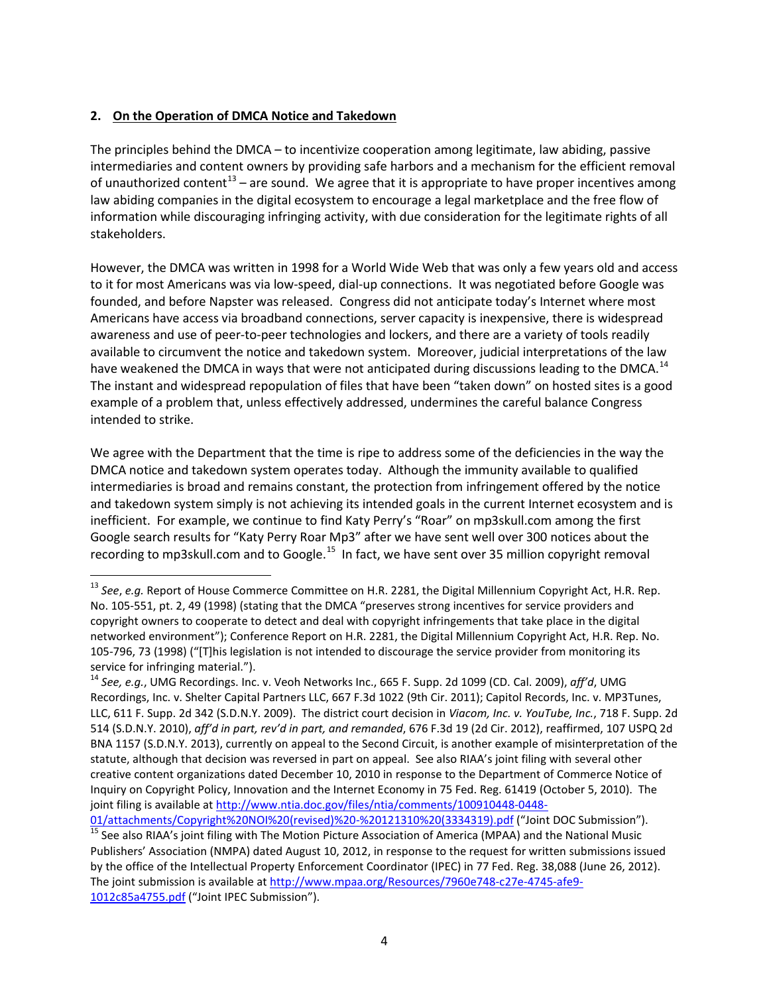## **2. On the Operation of DMCA Notice and Takedown**

The principles behind the DMCA – to incentivize cooperation among legitimate, law abiding, passive intermediaries and content owners by providing safe harbors and a mechanism for the efficient removal of unauthorized content<sup>[13](#page-3-0)</sup> – are sound. We agree that it is appropriate to have proper incentives among law abiding companies in the digital ecosystem to encourage a legal marketplace and the free flow of information while discouraging infringing activity, with due consideration for the legitimate rights of all stakeholders.

However, the DMCA was written in 1998 for a World Wide Web that was only a few years old and access to it for most Americans was via low-speed, dial-up connections. It was negotiated before Google was founded, and before Napster was released. Congress did not anticipate today's Internet where most Americans have access via broadband connections, server capacity is inexpensive, there is widespread awareness and use of peer-to-peer technologies and lockers, and there are a variety of tools readily available to circumvent the notice and takedown system. Moreover, judicial interpretations of the law have weakened the DMCA in ways that were not anticipated during discussions leading to the DMCA.<sup>[14](#page-3-1)</sup> The instant and widespread repopulation of files that have been "taken down" on hosted sites is a good example of a problem that, unless effectively addressed, undermines the careful balance Congress intended to strike.

We agree with the Department that the time is ripe to address some of the deficiencies in the way the DMCA notice and takedown system operates today. Although the immunity available to qualified intermediaries is broad and remains constant, the protection from infringement offered by the notice and takedown system simply is not achieving its intended goals in the current Internet ecosystem and is inefficient. For example, we continue to find Katy Perry's "Roar" on mp3skull.com among the first Google search results for "Katy Perry Roar Mp3" after we have sent well over 300 notices about the recording to mp3skull.com and to Google.<sup>[15](#page-3-2)</sup> In fact, we have sent over 35 million copyright removal

<span id="page-3-0"></span> <sup>13</sup> *See*, *e.g.* Report of House Commerce Committee on H.R. 2281, the Digital Millennium Copyright Act, H.R. Rep. No. 105-551, pt. 2, 49 (1998) (stating that the DMCA "preserves strong incentives for service providers and copyright owners to cooperate to detect and deal with copyright infringements that take place in the digital networked environment"); Conference Report on H.R. 2281, the Digital Millennium Copyright Act, H.R. Rep. No. 105-796, 73 (1998) ("[T]his legislation is not intended to discourage the service provider from monitoring its service for infringing material.").

<span id="page-3-1"></span><sup>14</sup> *See, e.g.*, UMG Recordings. Inc. v. Veoh Networks Inc., 665 F. Supp. 2d 1099 (CD. Cal. 2009), *aff'd*, UMG Recordings, Inc. v. Shelter Capital Partners LLC, 667 F.3d 1022 (9th Cir. 2011); Capitol Records, Inc. v. MP3Tunes, LLC, 611 F. Supp. 2d 342 (S.D.N.Y. 2009). The district court decision in *Viacom, Inc. v. YouTube, Inc.*, 718 F. Supp. 2d 514 (S.D.N.Y. 2010), *aff'd in part, rev'd in part, and remanded*, 676 F.3d 19 (2d Cir. 2012), reaffirmed, 107 USPQ 2d BNA 1157 (S.D.N.Y. 2013), currently on appeal to the Second Circuit, is another example of misinterpretation of the statute, although that decision was reversed in part on appeal. See also RIAA's joint filing with several other creative content organizations dated December 10, 2010 in response to the Department of Commerce Notice of Inquiry on Copyright Policy, Innovation and the Internet Economy in 75 Fed. Reg. 61419 (October 5, 2010). The joint filing is available at [http://www.ntia.doc.gov/files/ntia/comments/100910448-0448-](http://www.ntia.doc.gov/files/ntia/comments/100910448-0448-01/attachments/Copyright%20NOI%20(revised)%20-%20121310%20(3334319).pdf)

<span id="page-3-2"></span>[<sup>01/</sup>attachments/Copyright%20NOI%20\(revised\)%20-%20121310%20\(3334319\).pdf](http://www.ntia.doc.gov/files/ntia/comments/100910448-0448-01/attachments/Copyright%20NOI%20(revised)%20-%20121310%20(3334319).pdf) ("Joint DOC Submission").<br><sup>15</sup> See also RIAA's joint filing with The Motion Picture Association of America (MPAA) and the National Music Publishers' Association (NMPA) dated August 10, 2012, in response to the request for written submissions issued by the office of the Intellectual Property Enforcement Coordinator (IPEC) in 77 Fed. Reg. 38,088 (June 26, 2012). The joint submission is available at [http://www.mpaa.org/Resources/7960e748-c27e-4745-afe9-](http://www.mpaa.org/Resources/7960e748-c27e-4745-afe9-1012c85a4755.pdf) [1012c85a4755.pdf](http://www.mpaa.org/Resources/7960e748-c27e-4745-afe9-1012c85a4755.pdf) ("Joint IPEC Submission").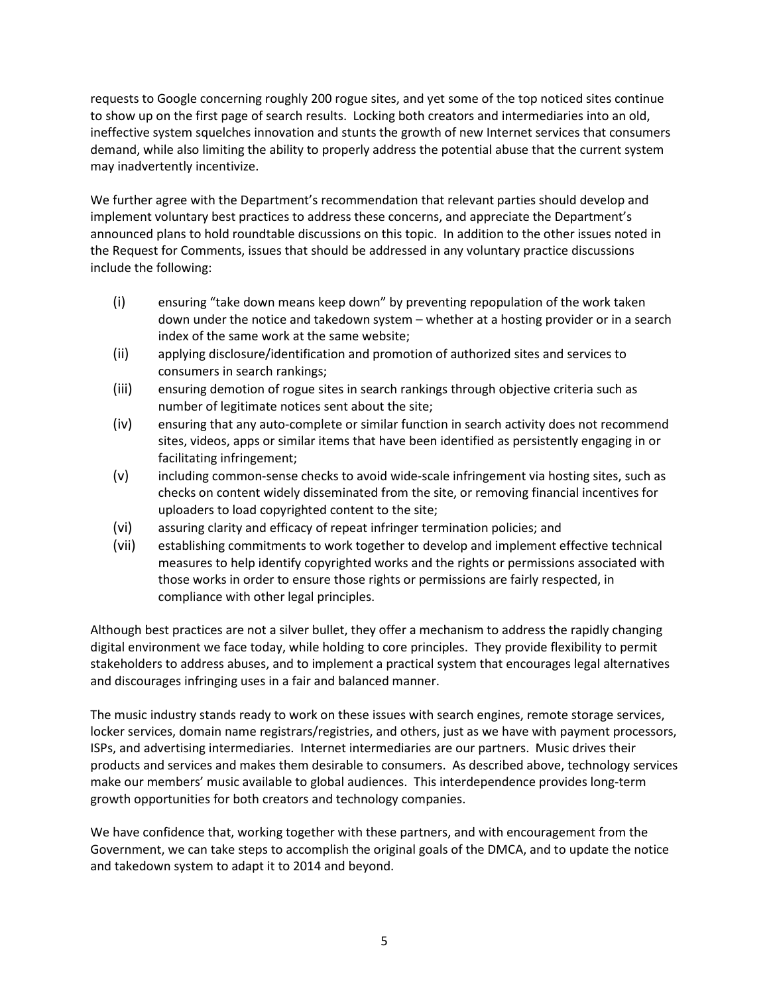requests to Google concerning roughly 200 rogue sites, and yet some of the top noticed sites continue to show up on the first page of search results. Locking both creators and intermediaries into an old, ineffective system squelches innovation and stunts the growth of new Internet services that consumers demand, while also limiting the ability to properly address the potential abuse that the current system may inadvertently incentivize.

We further agree with the Department's recommendation that relevant parties should develop and implement voluntary best practices to address these concerns, and appreciate the Department's announced plans to hold roundtable discussions on this topic. In addition to the other issues noted in the Request for Comments, issues that should be addressed in any voluntary practice discussions include the following:

- (i) ensuring "take down means keep down" by preventing repopulation of the work taken down under the notice and takedown system – whether at a hosting provider or in a search index of the same work at the same website;
- (ii) applying disclosure/identification and promotion of authorized sites and services to consumers in search rankings;
- (iii) ensuring demotion of rogue sites in search rankings through objective criteria such as number of legitimate notices sent about the site;
- (iv) ensuring that any auto-complete or similar function in search activity does not recommend sites, videos, apps or similar items that have been identified as persistently engaging in or facilitating infringement;
- (v) including common-sense checks to avoid wide-scale infringement via hosting sites, such as checks on content widely disseminated from the site, or removing financial incentives for uploaders to load copyrighted content to the site;
- (vi) assuring clarity and efficacy of repeat infringer termination policies; and
- (vii) establishing commitments to work together to develop and implement effective technical measures to help identify copyrighted works and the rights or permissions associated with those works in order to ensure those rights or permissions are fairly respected, in compliance with other legal principles.

Although best practices are not a silver bullet, they offer a mechanism to address the rapidly changing digital environment we face today, while holding to core principles. They provide flexibility to permit stakeholders to address abuses, and to implement a practical system that encourages legal alternatives and discourages infringing uses in a fair and balanced manner.

The music industry stands ready to work on these issues with search engines, remote storage services, locker services, domain name registrars/registries, and others, just as we have with payment processors, ISPs, and advertising intermediaries. Internet intermediaries are our partners. Music drives their products and services and makes them desirable to consumers. As described above, technology services make our members' music available to global audiences. This interdependence provides long-term growth opportunities for both creators and technology companies.

We have confidence that, working together with these partners, and with encouragement from the Government, we can take steps to accomplish the original goals of the DMCA, and to update the notice and takedown system to adapt it to 2014 and beyond.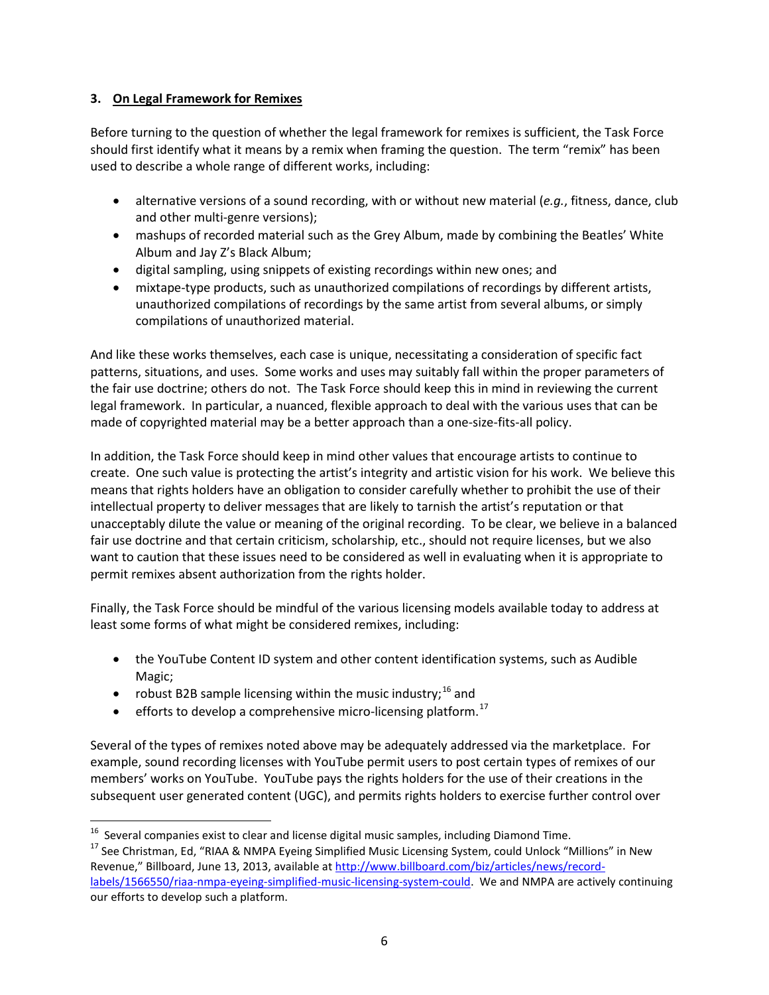## **3. On Legal Framework for Remixes**

Before turning to the question of whether the legal framework for remixes is sufficient, the Task Force should first identify what it means by a remix when framing the question. The term "remix" has been used to describe a whole range of different works, including:

- alternative versions of a sound recording, with or without new material (*e.g.*, fitness, dance, club and other multi-genre versions);
- mashups of recorded material such as the Grey Album, made by combining the Beatles' White Album and Jay Z's Black Album;
- digital sampling, using snippets of existing recordings within new ones; and
- mixtape-type products, such as unauthorized compilations of recordings by different artists, unauthorized compilations of recordings by the same artist from several albums, or simply compilations of unauthorized material.

And like these works themselves, each case is unique, necessitating a consideration of specific fact patterns, situations, and uses. Some works and uses may suitably fall within the proper parameters of the fair use doctrine; others do not. The Task Force should keep this in mind in reviewing the current legal framework. In particular, a nuanced, flexible approach to deal with the various uses that can be made of copyrighted material may be a better approach than a one-size-fits-all policy.

In addition, the Task Force should keep in mind other values that encourage artists to continue to create. One such value is protecting the artist's integrity and artistic vision for his work. We believe this means that rights holders have an obligation to consider carefully whether to prohibit the use of their intellectual property to deliver messages that are likely to tarnish the artist's reputation or that unacceptably dilute the value or meaning of the original recording. To be clear, we believe in a balanced fair use doctrine and that certain criticism, scholarship, etc., should not require licenses, but we also want to caution that these issues need to be considered as well in evaluating when it is appropriate to permit remixes absent authorization from the rights holder.

Finally, the Task Force should be mindful of the various licensing models available today to address at least some forms of what might be considered remixes, including:

- the YouTube Content ID system and other content identification systems, such as Audible Magic;
- robust B2B sample licensing within the music industry;<sup>[16](#page-5-0)</sup> and
- $\bullet$  efforts to develop a comprehensive micro-licensing platform.<sup>17</sup>

Several of the types of remixes noted above may be adequately addressed via the marketplace. For example, sound recording licenses with YouTube permit users to post certain types of remixes of our members' works on YouTube. YouTube pays the rights holders for the use of their creations in the subsequent user generated content (UGC), and permits rights holders to exercise further control over

<span id="page-5-1"></span><span id="page-5-0"></span><sup>&</sup>lt;sup>16</sup> Several companies exist to clear and license digital music samples, including Diamond Time.<br><sup>17</sup> See Christman, Ed, "RIAA & NMPA Eyeing Simplified Music Licensing System, could Unlock "Millions" in New Revenue," Billboard, June 13, 2013, available at [http://www.billboard.com/biz/articles/news/record](http://www.billboard.com/biz/articles/news/record-labels/1566550/riaa-nmpa-eyeing-simplified-music-licensing-system-could)[labels/1566550/riaa-nmpa-eyeing-simplified-music-licensing-system-could.](http://www.billboard.com/biz/articles/news/record-labels/1566550/riaa-nmpa-eyeing-simplified-music-licensing-system-could) We and NMPA are actively continuing our efforts to develop such a platform.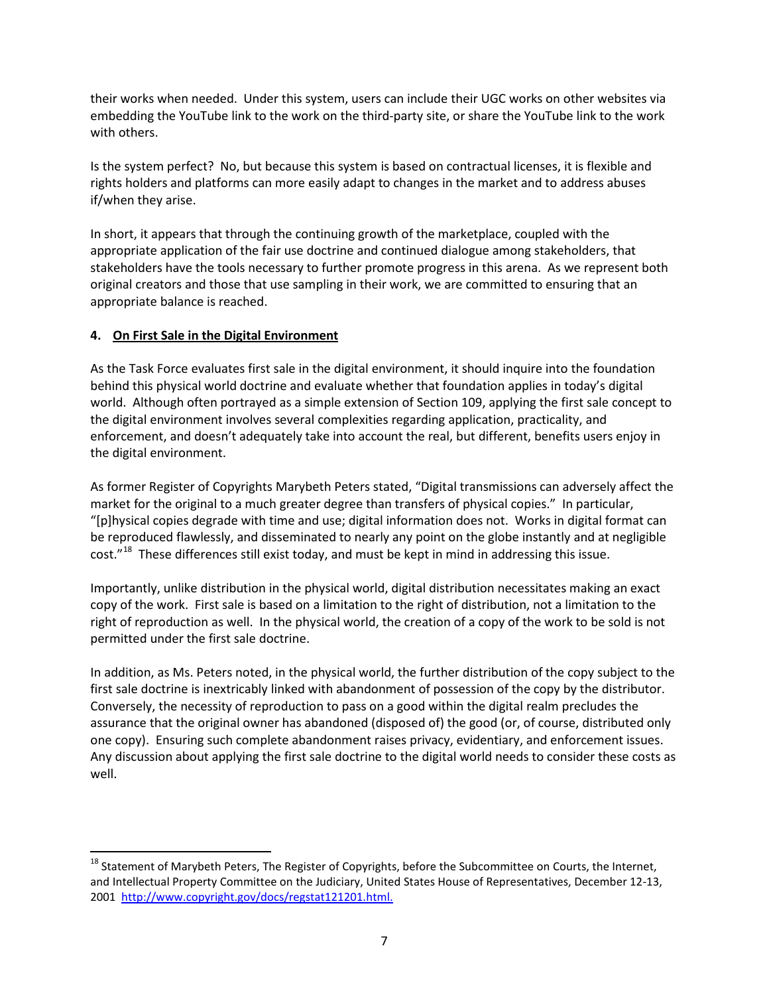their works when needed. Under this system, users can include their UGC works on other websites via embedding the YouTube link to the work on the third-party site, or share the YouTube link to the work with others.

Is the system perfect? No, but because this system is based on contractual licenses, it is flexible and rights holders and platforms can more easily adapt to changes in the market and to address abuses if/when they arise.

In short, it appears that through the continuing growth of the marketplace, coupled with the appropriate application of the fair use doctrine and continued dialogue among stakeholders, that stakeholders have the tools necessary to further promote progress in this arena. As we represent both original creators and those that use sampling in their work, we are committed to ensuring that an appropriate balance is reached.

# **4. On First Sale in the Digital Environment**

As the Task Force evaluates first sale in the digital environment, it should inquire into the foundation behind this physical world doctrine and evaluate whether that foundation applies in today's digital world. Although often portrayed as a simple extension of Section 109, applying the first sale concept to the digital environment involves several complexities regarding application, practicality, and enforcement, and doesn't adequately take into account the real, but different, benefits users enjoy in the digital environment.

As former Register of Copyrights Marybeth Peters stated, "Digital transmissions can adversely affect the market for the original to a much greater degree than transfers of physical copies." In particular, "[p]hysical copies degrade with time and use; digital information does not. Works in digital format can be reproduced flawlessly, and disseminated to nearly any point on the globe instantly and at negligible cost."[18](#page-6-0) These differences still exist today, and must be kept in mind in addressing this issue.

Importantly, unlike distribution in the physical world, digital distribution necessitates making an exact copy of the work. First sale is based on a limitation to the right of distribution, not a limitation to the right of reproduction as well. In the physical world, the creation of a copy of the work to be sold is not permitted under the first sale doctrine.

In addition, as Ms. Peters noted, in the physical world, the further distribution of the copy subject to the first sale doctrine is inextricably linked with abandonment of possession of the copy by the distributor. Conversely, the necessity of reproduction to pass on a good within the digital realm precludes the assurance that the original owner has abandoned (disposed of) the good (or, of course, distributed only one copy). Ensuring such complete abandonment raises privacy, evidentiary, and enforcement issues. Any discussion about applying the first sale doctrine to the digital world needs to consider these costs as well.

<span id="page-6-0"></span><sup>&</sup>lt;sup>18</sup> Statement of Marybeth Peters, The Register of Copyrights, before the Subcommittee on Courts, the Internet, and Intellectual Property Committee on the Judiciary, United States House of Representatives, December 12-13, 2001 [http://www.copyright.gov/docs/regstat121201.html.](http://www.copyright.gov/docs/regstat121201.html)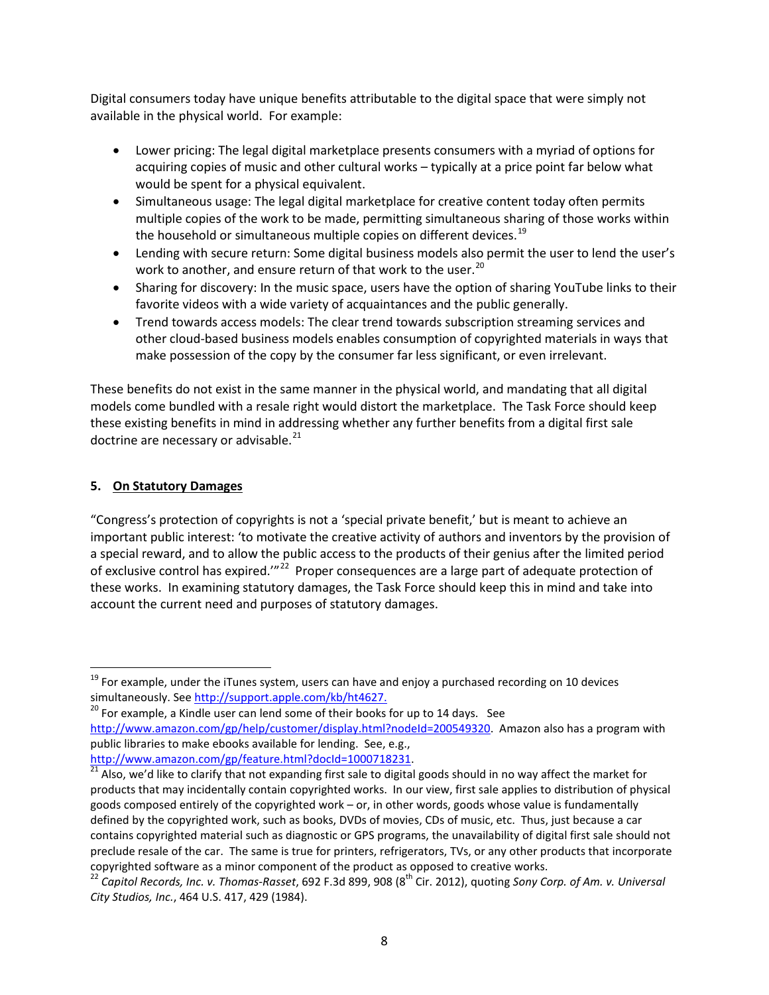Digital consumers today have unique benefits attributable to the digital space that were simply not available in the physical world. For example:

- Lower pricing: The legal digital marketplace presents consumers with a myriad of options for acquiring copies of music and other cultural works – typically at a price point far below what would be spent for a physical equivalent.
- Simultaneous usage: The legal digital marketplace for creative content today often permits multiple copies of the work to be made, permitting simultaneous sharing of those works within the household or simultaneous multiple copies on different devices.<sup>[19](#page-7-0)</sup>
- Lending with secure return: Some digital business models also permit the user to lend the user's work to another, and ensure return of that work to the user.<sup>20</sup>
- Sharing for discovery: In the music space, users have the option of sharing YouTube links to their favorite videos with a wide variety of acquaintances and the public generally.
- Trend towards access models: The clear trend towards subscription streaming services and other cloud-based business models enables consumption of copyrighted materials in ways that make possession of the copy by the consumer far less significant, or even irrelevant.

These benefits do not exist in the same manner in the physical world, and mandating that all digital models come bundled with a resale right would distort the marketplace. The Task Force should keep these existing benefits in mind in addressing whether any further benefits from a digital first sale doctrine are necessary or advisable. $^{21}$  $^{21}$  $^{21}$ 

## **5. On Statutory Damages**

"Congress's protection of copyrights is not a 'special private benefit,' but is meant to achieve an important public interest: 'to motivate the creative activity of authors and inventors by the provision of a special reward, and to allow the public access to the products of their genius after the limited period of exclusive control has expired."<sup>[22](#page-7-3)</sup> Proper consequences are a large part of adequate protection of these works. In examining statutory damages, the Task Force should keep this in mind and take into account the current need and purposes of statutory damages.

<span id="page-7-0"></span> $19$  For example, under the iTunes system, users can have and enjoy a purchased recording on 10 devices simultaneously. See [http://support.apple.com/kb/ht4627.](http://support.apple.com/kb/ht4627)<br><sup>20</sup> For example, a Kindle user can lend some of their books for up to 14 days. See

<span id="page-7-1"></span>[http://www.amazon.com/gp/help/customer/display.html?nodeId=200549320.](http://www.amazon.com/gp/help/customer/display.html?nodeId=200549320) Amazon also has a program with public libraries to make ebooks available for lending. See, e.g.,

<span id="page-7-2"></span>http://www.amazon.com/gp/feature.html?docId=1000718231.<br><sup>21</sup> Also, we'd like to clarify that not expanding first sale to digital goods should in no way affect the market for products that may incidentally contain copyrighted works. In our view, first sale applies to distribution of physical goods composed entirely of the copyrighted work – or, in other words, goods whose value is fundamentally defined by the copyrighted work, such as books, DVDs of movies, CDs of music, etc. Thus, just because a car contains copyrighted material such as diagnostic or GPS programs, the unavailability of digital first sale should not preclude resale of the car. The same is true for printers, refrigerators, TVs, or any other products that incorporate copyrighted software as a minor component of the product as opposed to creative works.

<span id="page-7-3"></span><sup>&</sup>lt;sup>22</sup> Capitol Records, Inc. v. Thomas-Rasset, 692 F.3d 899, 908 (8<sup>th</sup> Cir. 2012), quoting Sony Corp. of Am. v. Universal *City Studios, Inc.*, 464 U.S. 417, 429 (1984).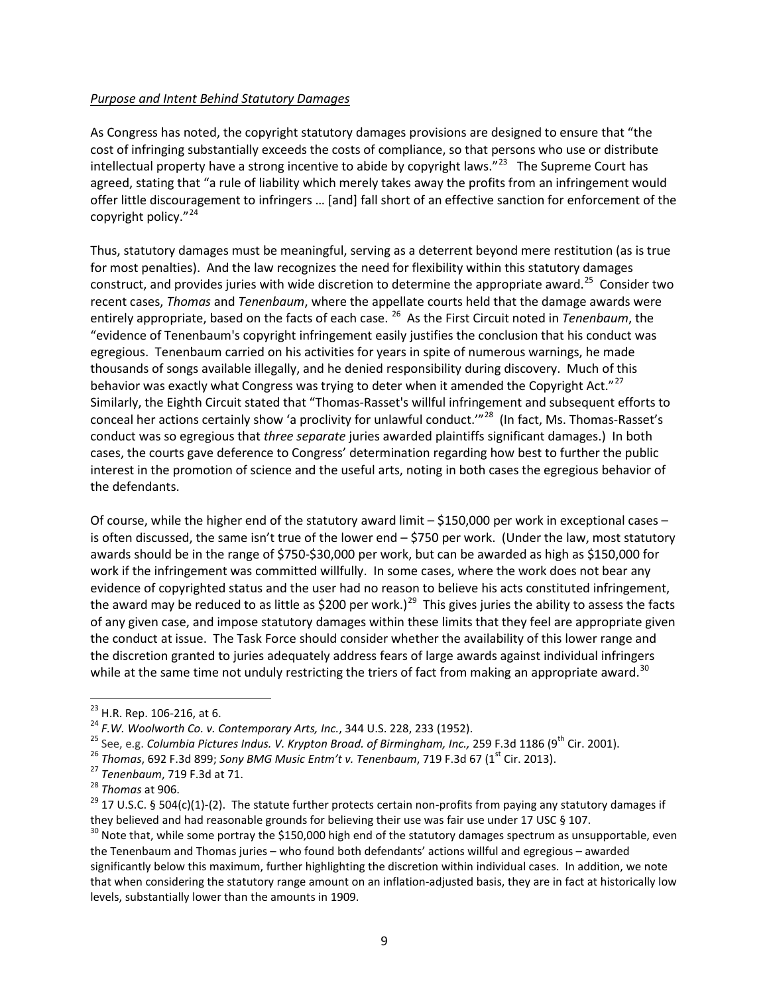#### *Purpose and Intent Behind Statutory Damages*

As Congress has noted, the copyright statutory damages provisions are designed to ensure that "the cost of infringing substantially exceeds the costs of compliance, so that persons who use or distribute intellectual property have a strong incentive to abide by copyright laws. $^{\prime\prime}^{23}$  $^{\prime\prime}^{23}$  $^{\prime\prime}^{23}$  The Supreme Court has agreed, stating that "a rule of liability which merely takes away the profits from an infringement would offer little discouragement to infringers … [and] fall short of an effective sanction for enforcement of the copyright policy."[24](#page-8-1) 

Thus, statutory damages must be meaningful, serving as a deterrent beyond mere restitution (as is true for most penalties). And the law recognizes the need for flexibility within this statutory damages construct, and provides juries with wide discretion to determine the appropriate award.<sup>25</sup> Consider two recent cases, *Thomas* and *Tenenbaum*, where the appellate courts held that the damage awards were entirely appropriate, based on the facts of each case. [26](#page-8-3) As the First Circuit noted in *Tenenbaum*, the "evidence of Tenenbaum's copyright infringement easily justifies the conclusion that his conduct was egregious. Tenenbaum carried on his activities for years in spite of numerous warnings, he made thousands of songs available illegally, and he denied responsibility during discovery. Much of this behavior was exactly what Congress was trying to deter when it amended the Copyright Act."<sup>27</sup> Similarly, the Eighth Circuit stated that "Thomas-Rasset's willful infringement and subsequent efforts to conceal her actions certainly show 'a proclivity for unlawful conduct."<sup>28</sup> (In fact, Ms. Thomas-Rasset's conduct was so egregious that *three separate* juries awarded plaintiffs significant damages.) In both cases, the courts gave deference to Congress' determination regarding how best to further the public interest in the promotion of science and the useful arts, noting in both cases the egregious behavior of the defendants.

Of course, while the higher end of the statutory award limit – \$150,000 per work in exceptional cases – is often discussed, the same isn't true of the lower end – \$750 per work. (Under the law, most statutory awards should be in the range of \$750-\$30,000 per work, but can be awarded as high as \$150,000 for work if the infringement was committed willfully. In some cases, where the work does not bear any evidence of copyrighted status and the user had no reason to believe his acts constituted infringement, the award may be reduced to as little as \$200 per work.)<sup>29</sup> This gives juries the ability to assess the facts of any given case, and impose statutory damages within these limits that they feel are appropriate given the conduct at issue. The Task Force should consider whether the availability of this lower range and the discretion granted to juries adequately address fears of large awards against individual infringers while at the same time not unduly restricting the triers of fact from making an appropriate award.<sup>[30](#page-8-7)</sup>

<span id="page-8-1"></span>

<span id="page-8-2"></span>

<span id="page-8-3"></span>

<span id="page-8-4"></span>

<span id="page-8-6"></span><span id="page-8-5"></span>

<span id="page-8-0"></span><sup>&</sup>lt;sup>23</sup> H.R. Rep. 106-216, at 6.<br>
<sup>24</sup> F.W. Woolworth Co. v. Contemporary Arts, Inc., 344 U.S. 228, 233 (1952).<br>
<sup>25</sup> See, e.g. Columbia Pictures Indus. V. Krypton Broad. of Birmingham, Inc., 259 F.3d 1186 (9<sup>th</sup> Cir. 2001). they believed and had reasonable grounds for believing their use was fair use under 17 USC § 107.<br><sup>30</sup> Note that, while some portray the \$150,000 high end of the statutory damages spectrum as unsupportable, even

<span id="page-8-7"></span>the Tenenbaum and Thomas juries – who found both defendants' actions willful and egregious – awarded significantly below this maximum, further highlighting the discretion within individual cases. In addition, we note that when considering the statutory range amount on an inflation-adjusted basis, they are in fact at historically low levels, substantially lower than the amounts in 1909.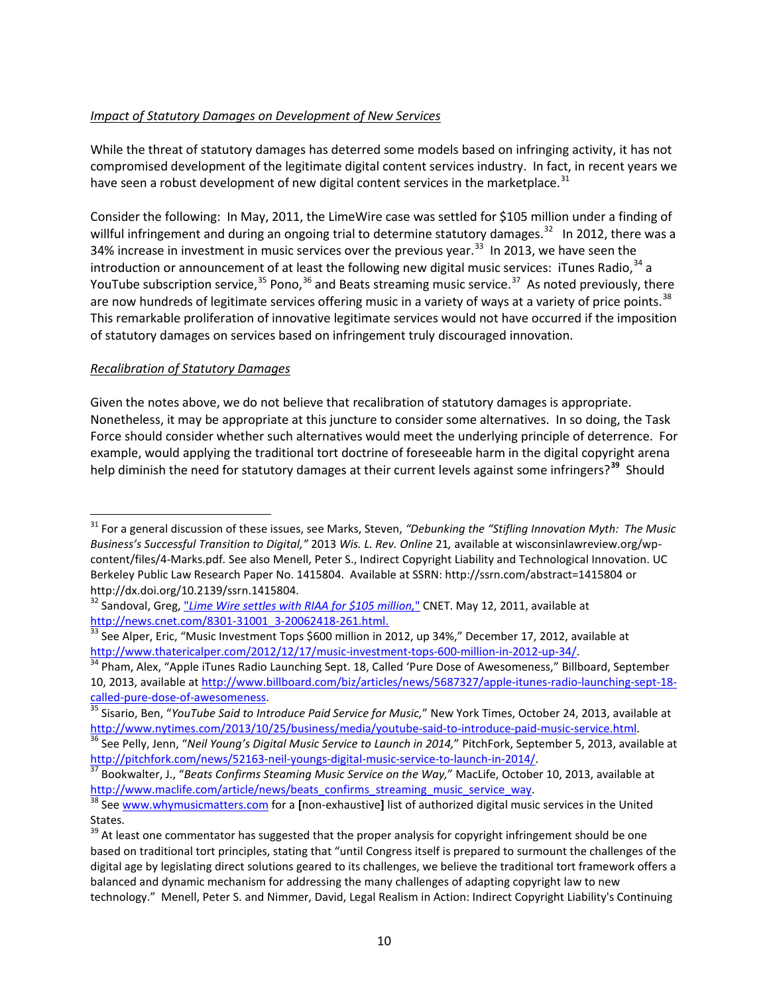## *Impact of Statutory Damages on Development of New Services*

While the threat of statutory damages has deterred some models based on infringing activity, it has not compromised development of the legitimate digital content services industry. In fact, in recent years we have seen a robust development of new digital content services in the marketplace.<sup>[31](#page-9-0)</sup>

Consider the following: In May, 2011, the LimeWire case was settled for \$105 million under a finding of willful infringement and during an ongoing trial to determine statutory damages.<sup>[32](#page-9-1)</sup> In 2012, there was a 34% increase in investment in music services over the previous year.<sup>[33](#page-9-2)</sup> In 2013, we have seen the introduction or announcement of at least the following new digital music services: iTunes Radio,  $34$  a YouTube subscription service,  $35$  Pono,  $36$  and Beats streaming music service.  $37$  As noted previously, there are now hundreds of legitimate services offering music in a variety of ways at a variety of price points.<sup>38</sup> This remarkable proliferation of innovative legitimate services would not have occurred if the imposition of statutory damages on services based on infringement truly discouraged innovation.

#### *Recalibration of Statutory Damages*

Given the notes above, we do not believe that recalibration of statutory damages is appropriate. Nonetheless, it may be appropriate at this juncture to consider some alternatives.In so doing, the Task Force should consider whether such alternatives would meet the underlying principle of deterrence. For example, would applying the traditional tort doctrine of foreseeable harm in the digital copyright arena help diminish the need for statutory damages at their current levels against some infringers?**[39](#page-9-8)** Should

<span id="page-9-0"></span> <sup>31</sup> For a general discussion of these issues, see Marks, Steven, *"Debunking the "Stifling Innovation Myth: The Music Business's Successful Transition to Digital,"* 2013 *Wis. L. Rev. Online* 21*,* available at wisconsinlawreview.org/wpcontent/files/4-Marks.pdf*.* See also Menell, Peter S., Indirect Copyright Liability and Technological Innovation. UC Berkeley Public Law Research Paper No. 1415804. Available at SSRN: http://ssrn.com/abstract=1415804 or http://dx.doi.org/10.2139/ssrn.1415804.

<span id="page-9-1"></span><sup>&</sup>lt;sup>32</sup> Sandoval, Greg, "Lime Wire settles with RIAA for \$105 million," [CNET.](http://en.wikipedia.org/wiki/CNET) May 12, 2011, available at

<span id="page-9-2"></span>[http://news.cnet.com/8301-31001\\_3-20062418-261.html.](http://news.cnet.com/8301-31001_3-20062418-261.html)<br><sup>33</sup> See Alper, Eric, "Music Investment Tops \$600 million in 2012, up 34%," December 17, 2012, available at http://www.thatericalper.com/2012/12/17/music-investment-tops

<span id="page-9-3"></span>Pham, Alex, "Apple iTunes Radio Launching Sept. 18, Called 'Pure Dose of Awesomeness," Billboard, September 10, 2013, available a[t http://www.billboard.com/biz/articles/news/5687327/apple-itunes-radio-launching-sept-18-](http://www.billboard.com/biz/articles/news/5687327/apple-itunes-radio-launching-sept-18-called-pure-dose-of-awesomeness)<br>called-pure-dose-of-awesomeness.

<span id="page-9-4"></span><sup>&</sup>lt;sup>35</sup> Sisario, Ben, "*YouTube Said to Introduce Paid Service for Music,*" New York Times, October 24, 2013, available at http://www.nytimes.com/2013/10/25/business/media/youtube-said-to-introduce-paid-music-service.html.

<span id="page-9-5"></span><sup>&</sup>lt;sup>36</sup> See Pelly, Jenn, "Neil Young's Digital Music Service to Launch in 2014," PitchFork, September 5, 2013, available at [http://pitchfork.com/news/52163-neil-youngs-digital-music-service-to-launch-in-2014/. 37](http://pitchfork.com/news/52163-neil-youngs-digital-music-service-to-launch-in-2014/) Bookwalter, J., "*Beats Confirms Steaming Music Service on the Way,*" MacLife, October 10, 2013, available at

<span id="page-9-6"></span>[http://www.maclife.com/article/news/beats\\_confirms\\_streaming\\_music\\_service\\_way.](http://www.maclife.com/article/news/beats_confirms_streaming_music_service_way) <sup>38</sup> Se[e www.whymusicmatters.com](http://www.whymusicmatters.com/) for a **[**non-exhaustive**]** list of authorized digital music services in the United

<span id="page-9-7"></span>States.

<span id="page-9-8"></span><sup>&</sup>lt;sup>39</sup> At least one commentator has suggested that the proper analysis for copyright infringement should be one based on traditional tort principles, stating that "until Congress itself is prepared to surmount the challenges of the digital age by legislating direct solutions geared to its challenges, we believe the traditional tort framework offers a balanced and dynamic mechanism for addressing the many challenges of adapting copyright law to new technology." Menell, Peter S. and Nimmer, David, Legal Realism in Action: Indirect Copyright Liability's Continuing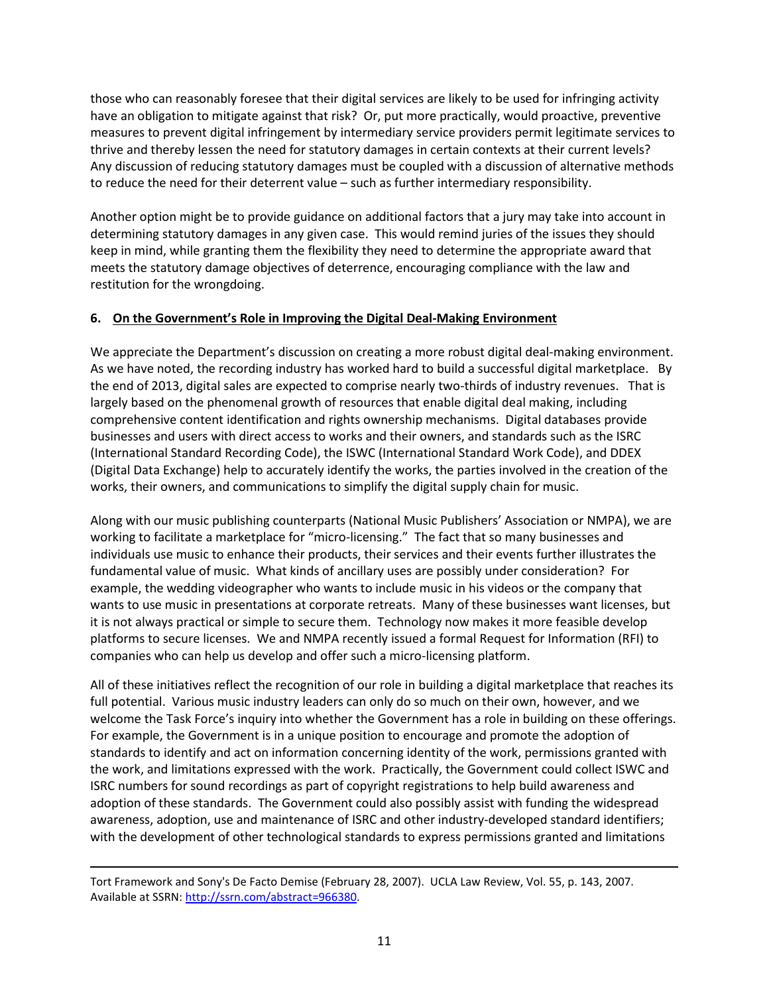those who can reasonably foresee that their digital services are likely to be used for infringing activity have an obligation to mitigate against that risk? Or, put more practically, would proactive, preventive measures to prevent digital infringement by intermediary service providers permit legitimate services to thrive and thereby lessen the need for statutory damages in certain contexts at their current levels? Any discussion of reducing statutory damages must be coupled with a discussion of alternative methods to reduce the need for their deterrent value – such as further intermediary responsibility.

Another option might be to provide guidance on additional factors that a jury may take into account in determining statutory damages in any given case. This would remind juries of the issues they should keep in mind, while granting them the flexibility they need to determine the appropriate award that meets the statutory damage objectives of deterrence, encouraging compliance with the law and restitution for the wrongdoing.

# **6. On the Government's Role in Improving the Digital Deal-Making Environment**

We appreciate the Department's discussion on creating a more robust digital deal-making environment. As we have noted, the recording industry has worked hard to build a successful digital marketplace. By the end of 2013, digital sales are expected to comprise nearly two-thirds of industry revenues. That is largely based on the phenomenal growth of resources that enable digital deal making, including comprehensive content identification and rights ownership mechanisms. Digital databases provide businesses and users with direct access to works and their owners, and standards such as the ISRC (International Standard Recording Code), the ISWC (International Standard Work Code), and DDEX (Digital Data Exchange) help to accurately identify the works, the parties involved in the creation of the works, their owners, and communications to simplify the digital supply chain for music.

Along with our music publishing counterparts (National Music Publishers' Association or NMPA), we are working to facilitate a marketplace for "micro-licensing." The fact that so many businesses and individuals use music to enhance their products, their services and their events further illustrates the fundamental value of music. What kinds of ancillary uses are possibly under consideration? For example, the wedding videographer who wants to include music in his videos or the company that wants to use music in presentations at corporate retreats. Many of these businesses want licenses, but it is not always practical or simple to secure them. Technology now makes it more feasible develop platforms to secure licenses. We and NMPA recently issued a formal Request for Information (RFI) to companies who can help us develop and offer such a micro-licensing platform.

All of these initiatives reflect the recognition of our role in building a digital marketplace that reaches its full potential. Various music industry leaders can only do so much on their own, however, and we welcome the Task Force's inquiry into whether the Government has a role in building on these offerings. For example, the Government is in a unique position to encourage and promote the adoption of standards to identify and act on information concerning identity of the work, permissions granted with the work, and limitations expressed with the work. Practically, the Government could collect ISWC and ISRC numbers for sound recordings as part of copyright registrations to help build awareness and adoption of these standards. The Government could also possibly assist with funding the widespread awareness, adoption, use and maintenance of ISRC and other industry-developed standard identifiers; with the development of other technological standards to express permissions granted and limitations

 $\overline{\phantom{a}}$ 

Tort Framework and Sony's De Facto Demise (February 28, 2007). UCLA Law Review, Vol. 55, p. 143, 2007. Available at SSRN[: http://ssrn.com/abstract=966380.](http://ssrn.com/abstract=966380)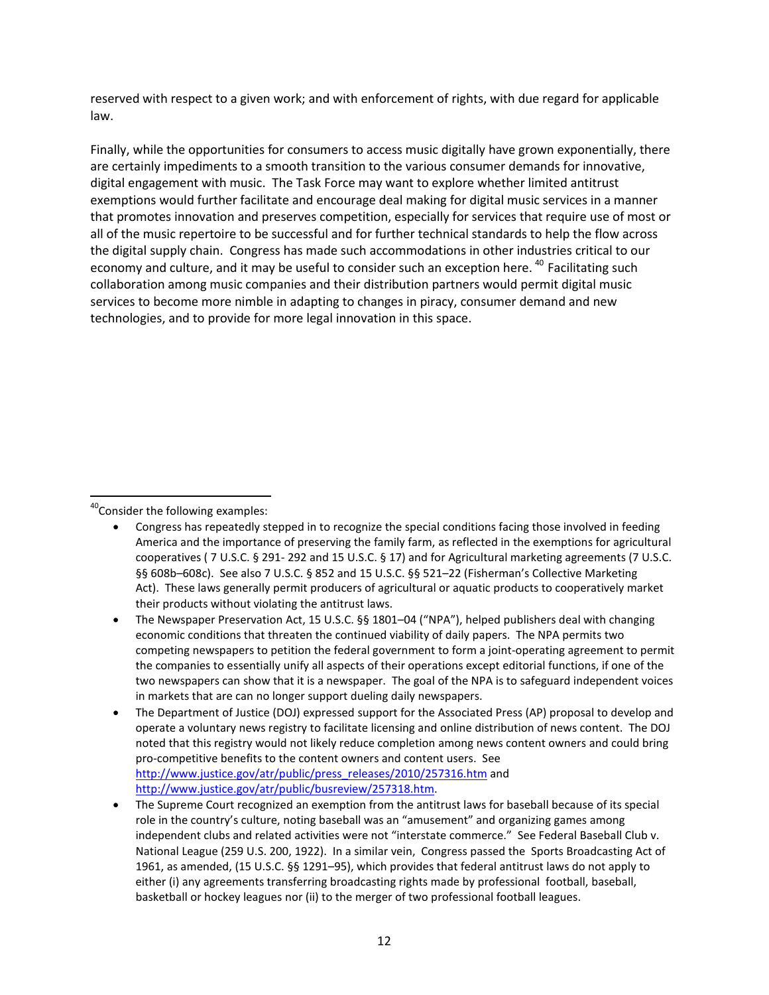reserved with respect to a given work; and with enforcement of rights, with due regard for applicable law.

Finally, while the opportunities for consumers to access music digitally have grown exponentially, there are certainly impediments to a smooth transition to the various consumer demands for innovative, digital engagement with music. The Task Force may want to explore whether limited antitrust exemptions would further facilitate and encourage deal making for digital music services in a manner that promotes innovation and preserves competition, especially for services that require use of most or all of the music repertoire to be successful and for further technical standards to help the flow across the digital supply chain. Congress has made such accommodations in other industries critical to our economy and culture, and it may be useful to consider such an exception here.<sup>[40](#page-11-0)</sup> Facilitating such collaboration among music companies and their distribution partners would permit digital music services to become more nimble in adapting to changes in piracy, consumer demand and new technologies, and to provide for more legal innovation in this space.

<span id="page-11-0"></span><sup>40</sup>Consider the following examples:

- Congress has repeatedly stepped in to recognize the special conditions facing those involved in feeding America and the importance of preserving the family farm, as reflected in the exemptions for agricultural cooperatives ( 7 U.S.C. § 291- 292 and 15 U.S.C. § 17) and for Agricultural marketing agreements (7 U.S.C. §§ 608b-608c). See also 7 U.S.C. § 852 and 15 U.S.C. §§ 521-22 (Fisherman's Collective Marketing Act). These laws generally permit producers of agricultural or aquatic products to cooperatively market their products without violating the antitrust laws.
- The Newspaper Preservation Act, 15 U.S.C. §§ 1801–04 ("NPA"), helped publishers deal with changing economic conditions that threaten the continued viability of daily papers. The NPA permits two competing newspapers to petition the federal government to form a joint-operating agreement to permit the companies to essentially unify all aspects of their operations except editorial functions, if one of the two newspapers can show that it is a newspaper. The goal of the NPA is to safeguard independent voices in markets that are can no longer support dueling daily newspapers.
- The Department of Justice (DOJ) expressed support for the Associated Press (AP) proposal to develop and operate a voluntary news registry to facilitate licensing and online distribution of news content. The DOJ noted that this registry would not likely reduce completion among news content owners and could bring pro-competitive benefits to the content owners and content users. See [http://www.justice.gov/atr/public/press\\_releases/2010/257316.htm](http://www.justice.gov/atr/public/press_releases/2010/257316.htm) and [http://www.justice.gov/atr/public/busreview/257318.htm.](http://www.justice.gov/atr/public/busreview/257318.htm)
- The Supreme Court recognized an exemption from the antitrust laws for baseball because of its special role in the country's culture, noting baseball was an "amusement" and organizing games among independent clubs and related activities were not "interstate commerce." See Federal Baseball Club v. National League (259 U.S. 200, 1922). In a similar vein, Congress passed the Sports Broadcasting Act of 1961, as amended, (15 U.S.C. §§ 1291–95), which provides that federal antitrust laws do not apply to either (i) any agreements transferring broadcasting rights made by professional football, baseball, basketball or hockey leagues nor (ii) to the merger of two professional football leagues.